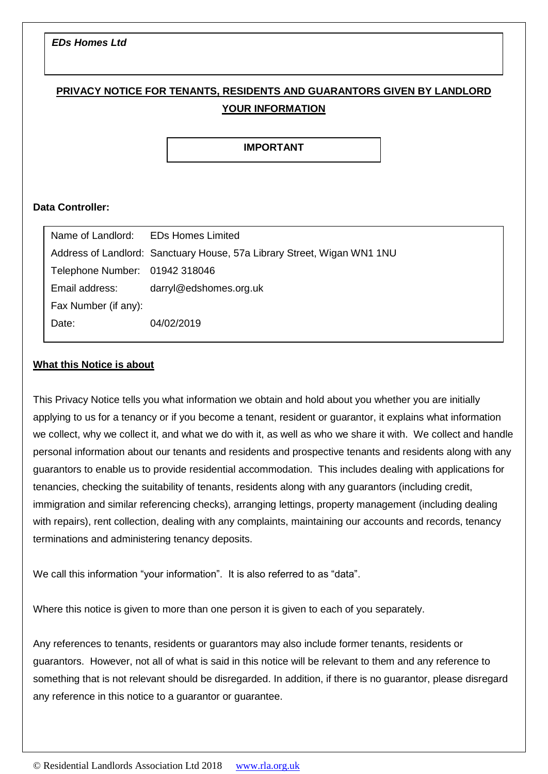### *EDs Homes Ltd*

# **PRIVACY NOTICE FOR TENANTS, RESIDENTS AND GUARANTORS GIVEN BY LANDLORD YOUR INFORMATION**

### **IMPORTANT**

### **Data Controller:**

| Name of Landlord: EDs Homes Limited |                                                                         |
|-------------------------------------|-------------------------------------------------------------------------|
|                                     | Address of Landlord: Sanctuary House, 57a Library Street, Wigan WN1 1NU |
| Telephone Number: 01942 318046      |                                                                         |
| Email address:                      | darryl@edshomes.org.uk                                                  |
| Fax Number (if any):                |                                                                         |
| Date:                               | 04/02/2019                                                              |
|                                     |                                                                         |

#### **What this Notice is about**

This Privacy Notice tells you what information we obtain and hold about you whether you are initially applying to us for a tenancy or if you become a tenant, resident or guarantor, it explains what information we collect, why we collect it, and what we do with it, as well as who we share it with. We collect and handle personal information about our tenants and residents and prospective tenants and residents along with any guarantors to enable us to provide residential accommodation. This includes dealing with applications for tenancies, checking the suitability of tenants, residents along with any guarantors (including credit, immigration and similar referencing checks), arranging lettings, property management (including dealing with repairs), rent collection, dealing with any complaints, maintaining our accounts and records, tenancy terminations and administering tenancy deposits. copyright in this document. It can be a set of the copyright in this document. It can be a set of the copyright in the copyright in the copyright in the copyright in the copyright in the copyright in the copyright in the c **only** be used by an RLA member who may add to or change the to or change the total to or change the to or change the to or change the to or change the to or change the to or change the to or change the to or change the to or change the to or change the privacy notice to meet their own requirements.

We call this information "your information". It is also referred to as "data".

Where this notice is given to more than one person it is given to each of you separately.

Any references to tenants, residents or guarantors may also include former tenants, residents or guarantors. However, not all of what is said in this notice will be relevant to them and any reference to something that is not relevant should be disregarded. In addition, if there is no guarantor, please disregard any reference in this notice to a guarantor or guarantee.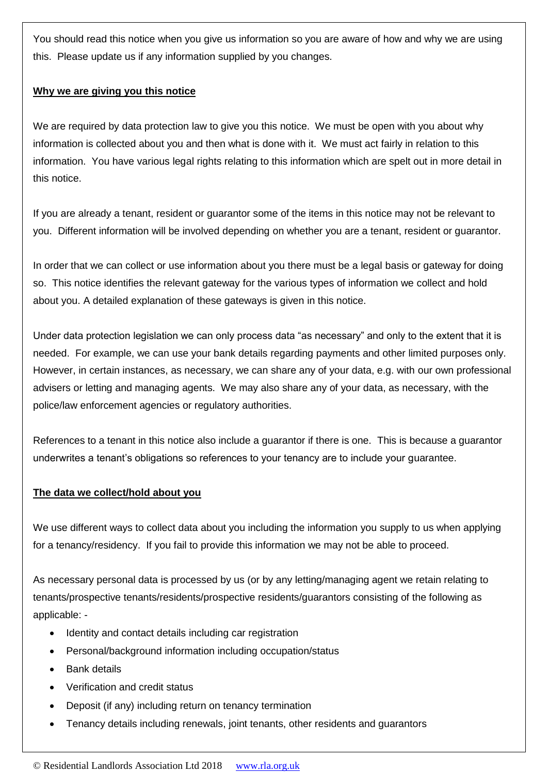You should read this notice when you give us information so you are aware of how and why we are using this. Please update us if any information supplied by you changes.

## **Why we are giving you this notice**

We are required by data protection law to give you this notice. We must be open with you about why information is collected about you and then what is done with it. We must act fairly in relation to this information. You have various legal rights relating to this information which are spelt out in more detail in this notice.

If you are already a tenant, resident or guarantor some of the items in this notice may not be relevant to you. Different information will be involved depending on whether you are a tenant, resident or guarantor.

In order that we can collect or use information about you there must be a legal basis or gateway for doing so. This notice identifies the relevant gateway for the various types of information we collect and hold about you. A detailed explanation of these gateways is given in this notice.

Under data protection legislation we can only process data "as necessary" and only to the extent that it is needed. For example, we can use your bank details regarding payments and other limited purposes only. However, in certain instances, as necessary, we can share any of your data, e.g. with our own professional advisers or letting and managing agents. We may also share any of your data, as necessary, with the police/law enforcement agencies or regulatory authorities.

References to a tenant in this notice also include a guarantor if there is one. This is because a guarantor underwrites a tenant's obligations so references to your tenancy are to include your guarantee.

### **The data we collect/hold about you**

We use different ways to collect data about you including the information you supply to us when applying for a tenancy/residency. If you fail to provide this information we may not be able to proceed.

As necessary personal data is processed by us (or by any letting/managing agent we retain relating to tenants/prospective tenants/residents/prospective residents/guarantors consisting of the following as applicable: -

- Identity and contact details including car registration
- Personal/background information including occupation/status
- Bank details
- Verification and credit status
- Deposit (if any) including return on tenancy termination
- Tenancy details including renewals, joint tenants, other residents and guarantors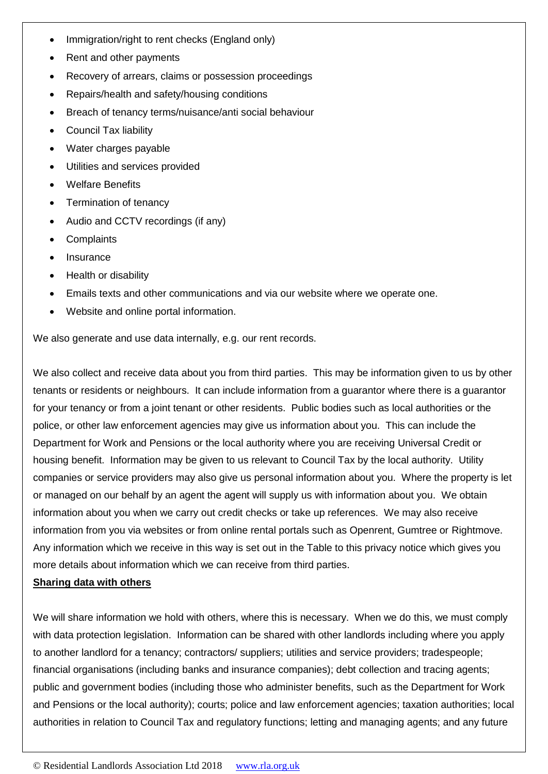- Immigration/right to rent checks (England only)
- Rent and other payments
- Recovery of arrears, claims or possession proceedings
- Repairs/health and safety/housing conditions
- Breach of tenancy terms/nuisance/anti social behaviour
- Council Tax liability
- Water charges payable
- Utilities and services provided
- Welfare Benefits
- Termination of tenancy
- Audio and CCTV recordings (if any)
- **Complaints**
- Insurance
- Health or disability
- Emails texts and other communications and via our website where we operate one.
- Website and online portal information.

We also generate and use data internally, e.g. our rent records.

We also collect and receive data about you from third parties. This may be information given to us by other tenants or residents or neighbours. It can include information from a guarantor where there is a guarantor for your tenancy or from a joint tenant or other residents. Public bodies such as local authorities or the police, or other law enforcement agencies may give us information about you. This can include the Department for Work and Pensions or the local authority where you are receiving Universal Credit or housing benefit. Information may be given to us relevant to Council Tax by the local authority. Utility companies or service providers may also give us personal information about you. Where the property is let or managed on our behalf by an agent the agent will supply us with information about you. We obtain information about you when we carry out credit checks or take up references. We may also receive information from you via websites or from online rental portals such as Openrent, Gumtree or Rightmove. Any information which we receive in this way is set out in the Table to this privacy notice which gives you more details about information which we can receive from third parties.

### **Sharing data with others**

We will share information we hold with others, where this is necessary. When we do this, we must comply with data protection legislation. Information can be shared with other landlords including where you apply to another landlord for a tenancy; contractors/ suppliers; utilities and service providers; tradespeople; financial organisations (including banks and insurance companies); debt collection and tracing agents; public and government bodies (including those who administer benefits, such as the Department for Work and Pensions or the local authority); courts; police and law enforcement agencies; taxation authorities; local authorities in relation to Council Tax and regulatory functions; letting and managing agents; and any future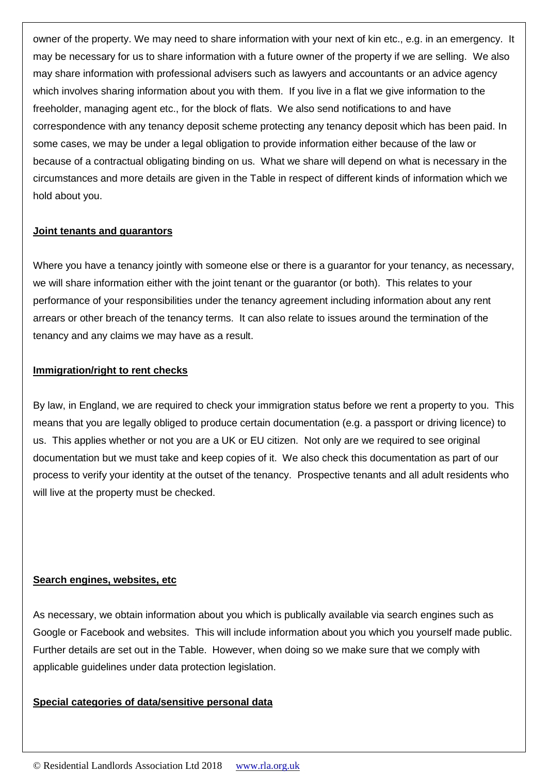owner of the property. We may need to share information with your next of kin etc., e.g. in an emergency. It may be necessary for us to share information with a future owner of the property if we are selling. We also may share information with professional advisers such as lawyers and accountants or an advice agency which involves sharing information about you with them. If you live in a flat we give information to the freeholder, managing agent etc., for the block of flats. We also send notifications to and have correspondence with any tenancy deposit scheme protecting any tenancy deposit which has been paid. In some cases, we may be under a legal obligation to provide information either because of the law or because of a contractual obligating binding on us. What we share will depend on what is necessary in the circumstances and more details are given in the Table in respect of different kinds of information which we hold about you.

#### **Joint tenants and guarantors**

Where you have a tenancy jointly with someone else or there is a guarantor for your tenancy, as necessary, we will share information either with the joint tenant or the guarantor (or both). This relates to your performance of your responsibilities under the tenancy agreement including information about any rent arrears or other breach of the tenancy terms. It can also relate to issues around the termination of the tenancy and any claims we may have as a result.

#### **Immigration/right to rent checks**

By law, in England, we are required to check your immigration status before we rent a property to you. This means that you are legally obliged to produce certain documentation (e.g. a passport or driving licence) to us. This applies whether or not you are a UK or EU citizen. Not only are we required to see original documentation but we must take and keep copies of it. We also check this documentation as part of our process to verify your identity at the outset of the tenancy. Prospective tenants and all adult residents who will live at the property must be checked.

### **Search engines, websites, etc**

As necessary, we obtain information about you which is publically available via search engines such as Google or Facebook and websites. This will include information about you which you yourself made public. Further details are set out in the Table. However, when doing so we make sure that we comply with applicable guidelines under data protection legislation.

#### **Special categories of data/sensitive personal data**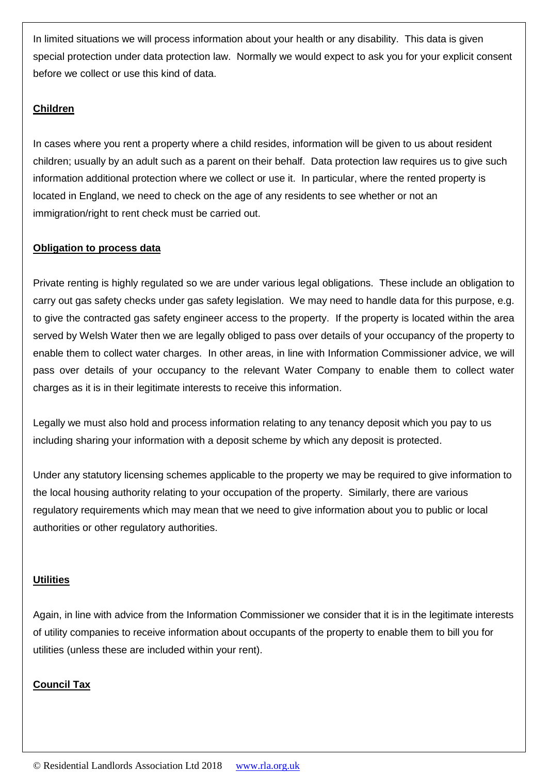In limited situations we will process information about your health or any disability. This data is given special protection under data protection law. Normally we would expect to ask you for your explicit consent before we collect or use this kind of data.

## **Children**

In cases where you rent a property where a child resides, information will be given to us about resident children; usually by an adult such as a parent on their behalf. Data protection law requires us to give such information additional protection where we collect or use it. In particular, where the rented property is located in England, we need to check on the age of any residents to see whether or not an immigration/right to rent check must be carried out.

## **Obligation to process data**

Private renting is highly regulated so we are under various legal obligations. These include an obligation to carry out gas safety checks under gas safety legislation. We may need to handle data for this purpose, e.g. to give the contracted gas safety engineer access to the property. If the property is located within the area served by Welsh Water then we are legally obliged to pass over details of your occupancy of the property to enable them to collect water charges. In other areas, in line with Information Commissioner advice, we will pass over details of your occupancy to the relevant Water Company to enable them to collect water charges as it is in their legitimate interests to receive this information.

Legally we must also hold and process information relating to any tenancy deposit which you pay to us including sharing your information with a deposit scheme by which any deposit is protected.

Under any statutory licensing schemes applicable to the property we may be required to give information to the local housing authority relating to your occupation of the property. Similarly, there are various regulatory requirements which may mean that we need to give information about you to public or local authorities or other regulatory authorities.

### **Utilities**

Again, in line with advice from the Information Commissioner we consider that it is in the legitimate interests of utility companies to receive information about occupants of the property to enable them to bill you for utilities (unless these are included within your rent).

## **Council Tax**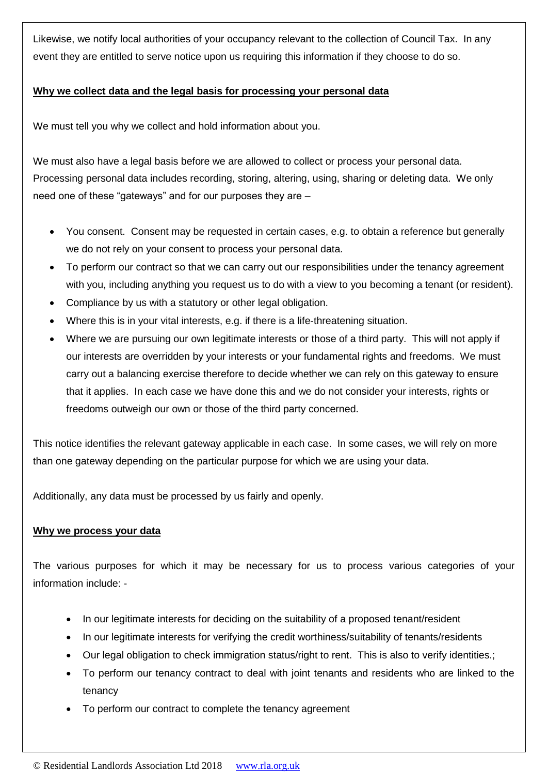Likewise, we notify local authorities of your occupancy relevant to the collection of Council Tax. In any event they are entitled to serve notice upon us requiring this information if they choose to do so.

## **Why we collect data and the legal basis for processing your personal data**

We must tell you why we collect and hold information about you.

We must also have a legal basis before we are allowed to collect or process your personal data. Processing personal data includes recording, storing, altering, using, sharing or deleting data. We only need one of these "gateways" and for our purposes they are –

- You consent. Consent may be requested in certain cases, e.g. to obtain a reference but generally we do not rely on your consent to process your personal data.
- To perform our contract so that we can carry out our responsibilities under the tenancy agreement with you, including anything you request us to do with a view to you becoming a tenant (or resident).
- Compliance by us with a statutory or other legal obligation.
- Where this is in your vital interests, e.g. if there is a life-threatening situation.
- Where we are pursuing our own legitimate interests or those of a third party. This will not apply if our interests are overridden by your interests or your fundamental rights and freedoms. We must carry out a balancing exercise therefore to decide whether we can rely on this gateway to ensure that it applies. In each case we have done this and we do not consider your interests, rights or freedoms outweigh our own or those of the third party concerned.

This notice identifies the relevant gateway applicable in each case. In some cases, we will rely on more than one gateway depending on the particular purpose for which we are using your data.

Additionally, any data must be processed by us fairly and openly.

### **Why we process your data**

The various purposes for which it may be necessary for us to process various categories of your information include: -

- In our legitimate interests for deciding on the suitability of a proposed tenant/resident
- In our legitimate interests for verifying the credit worthiness/suitability of tenants/residents
- Our legal obligation to check immigration status/right to rent. This is also to verify identities.;
- To perform our tenancy contract to deal with joint tenants and residents who are linked to the tenancy
- To perform our contract to complete the tenancy agreement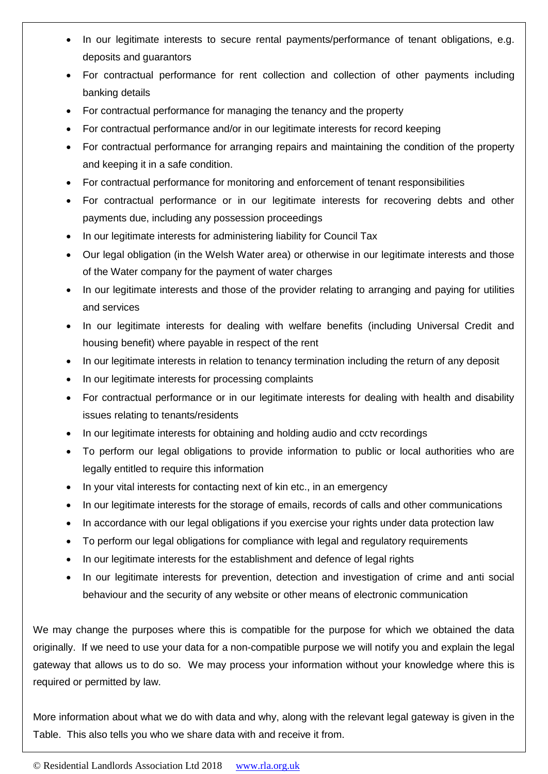- In our legitimate interests to secure rental payments/performance of tenant obligations, e.g. deposits and guarantors
- For contractual performance for rent collection and collection of other payments including banking details
- For contractual performance for managing the tenancy and the property
- For contractual performance and/or in our legitimate interests for record keeping
- For contractual performance for arranging repairs and maintaining the condition of the property and keeping it in a safe condition.
- For contractual performance for monitoring and enforcement of tenant responsibilities
- For contractual performance or in our legitimate interests for recovering debts and other payments due, including any possession proceedings
- In our legitimate interests for administering liability for Council Tax
- Our legal obligation (in the Welsh Water area) or otherwise in our legitimate interests and those of the Water company for the payment of water charges
- In our legitimate interests and those of the provider relating to arranging and paying for utilities and services
- In our legitimate interests for dealing with welfare benefits (including Universal Credit and housing benefit) where payable in respect of the rent
- In our legitimate interests in relation to tenancy termination including the return of any deposit
- In our legitimate interests for processing complaints
- For contractual performance or in our legitimate interests for dealing with health and disability issues relating to tenants/residents
- In our legitimate interests for obtaining and holding audio and cctv recordings
- To perform our legal obligations to provide information to public or local authorities who are legally entitled to require this information
- In your vital interests for contacting next of kin etc., in an emergency
- In our legitimate interests for the storage of emails, records of calls and other communications
- In accordance with our legal obligations if you exercise your rights under data protection law
- To perform our legal obligations for compliance with legal and regulatory requirements
- In our legitimate interests for the establishment and defence of legal rights
- In our legitimate interests for prevention, detection and investigation of crime and anti social behaviour and the security of any website or other means of electronic communication

We may change the purposes where this is compatible for the purpose for which we obtained the data originally. If we need to use your data for a non-compatible purpose we will notify you and explain the legal gateway that allows us to do so. We may process your information without your knowledge where this is required or permitted by law.

More information about what we do with data and why, along with the relevant legal gateway is given in the Table. This also tells you who we share data with and receive it from.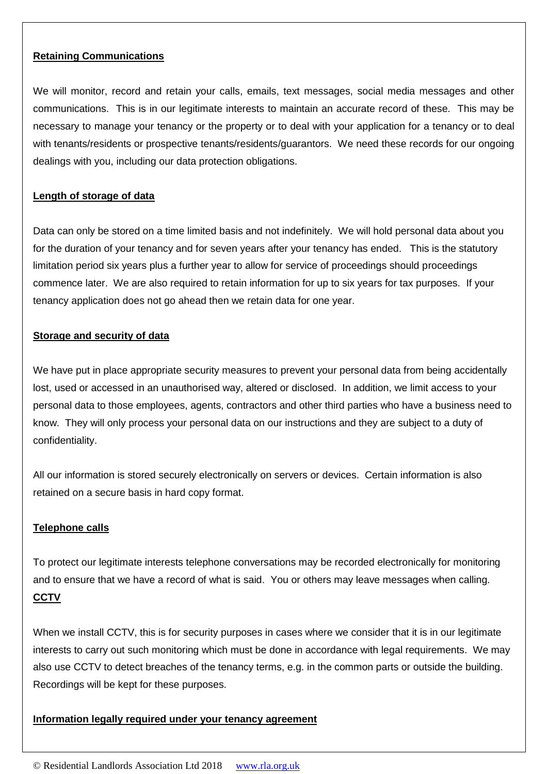### **Retaining Communications**

We will monitor, record and retain your calls, emails, text messages, social media messages and other communications. This is in our legitimate interests to maintain an accurate record of these. This may be necessary to manage your tenancy or the property or to deal with your application for a tenancy or to deal with tenants/residents or prospective tenants/residents/guarantors. We need these records for our ongoing dealings with you, including our data protection obligations.

## **Length of storage of data**

Data can only be stored on a time limited basis and not indefinitely. We will hold personal data about you for the duration of your tenancy and for seven years after your tenancy has ended. This is the statutory limitation period six years plus a further year to allow for service of proceedings should proceedings commence later. We are also required to retain information for up to six years for tax purposes. If your tenancy application does not go ahead then we retain data for one year.

### **Storage and security of data**

We have put in place appropriate security measures to prevent your personal data from being accidentally lost, used or accessed in an unauthorised way, altered or disclosed. In addition, we limit access to your personal data to those employees, agents, contractors and other third parties who have a business need to know. They will only process your personal data on our instructions and they are subject to a duty of confidentiality.

All our information is stored securely electronically on servers or devices. Certain information is also retained on a secure basis in hard copy format.

### **Telephone calls**

To protect our legitimate interests telephone conversations may be recorded electronically for monitoring and to ensure that we have a record of what is said. You or others may leave messages when calling. **CCTV**

When we install CCTV, this is for security purposes in cases where we consider that it is in our legitimate interests to carry out such monitoring which must be done in accordance with legal requirements. We may also use CCTV to detect breaches of the tenancy terms, e.g. in the common parts or outside the building. Recordings will be kept for these purposes.

#### **Information legally required under your tenancy agreement**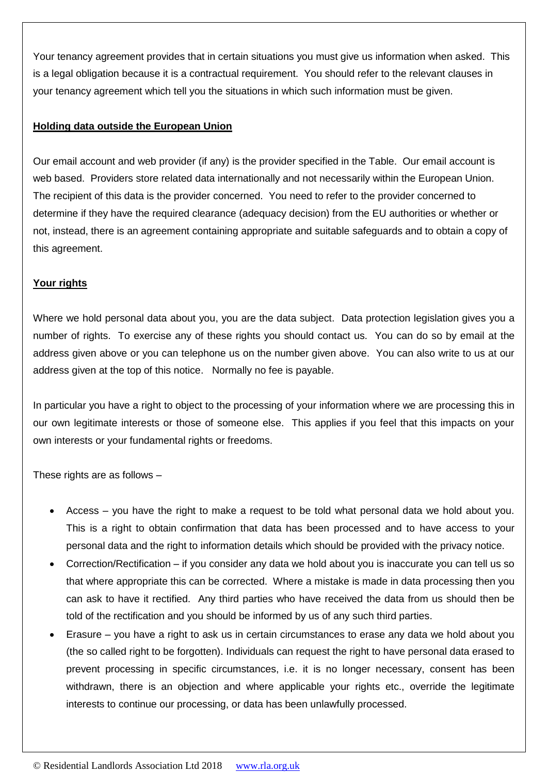Your tenancy agreement provides that in certain situations you must give us information when asked. This is a legal obligation because it is a contractual requirement. You should refer to the relevant clauses in your tenancy agreement which tell you the situations in which such information must be given.

## **Holding data outside the European Union**

Our email account and web provider (if any) is the provider specified in the Table. Our email account is web based. Providers store related data internationally and not necessarily within the European Union. The recipient of this data is the provider concerned. You need to refer to the provider concerned to determine if they have the required clearance (adequacy decision) from the EU authorities or whether or not, instead, there is an agreement containing appropriate and suitable safeguards and to obtain a copy of this agreement.

## **Your rights**

Where we hold personal data about you, you are the data subject. Data protection legislation gives you a number of rights. To exercise any of these rights you should contact us. You can do so by email at the address given above or you can telephone us on the number given above. You can also write to us at our address given at the top of this notice. Normally no fee is payable.

In particular you have a right to object to the processing of your information where we are processing this in our own legitimate interests or those of someone else. This applies if you feel that this impacts on your own interests or your fundamental rights or freedoms.

These rights are as follows –

- Access you have the right to make a request to be told what personal data we hold about you. This is a right to obtain confirmation that data has been processed and to have access to your personal data and the right to information details which should be provided with the privacy notice.
- Correction/Rectification if you consider any data we hold about you is inaccurate you can tell us so that where appropriate this can be corrected. Where a mistake is made in data processing then you can ask to have it rectified. Any third parties who have received the data from us should then be told of the rectification and you should be informed by us of any such third parties.
- Erasure you have a right to ask us in certain circumstances to erase any data we hold about you (the so called right to be forgotten). Individuals can request the right to have personal data erased to prevent processing in specific circumstances, i.e. it is no longer necessary, consent has been withdrawn, there is an objection and where applicable your rights etc., override the legitimate interests to continue our processing, or data has been unlawfully processed.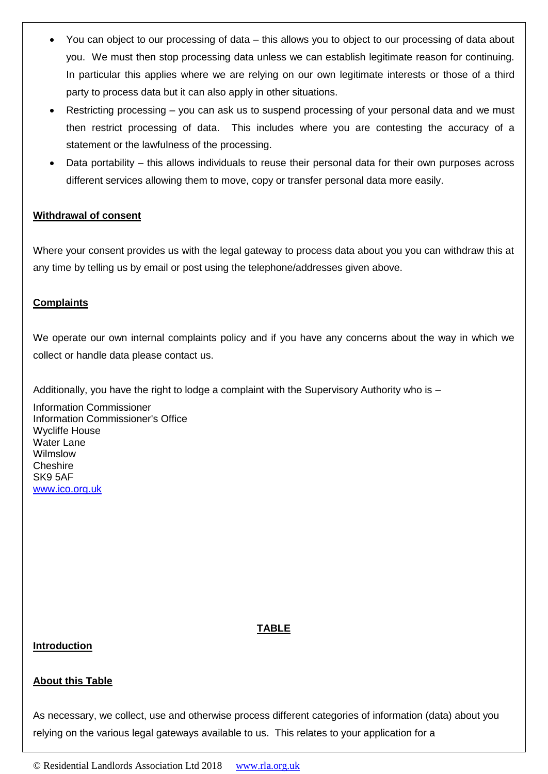- You can object to our processing of data this allows you to object to our processing of data about you. We must then stop processing data unless we can establish legitimate reason for continuing. In particular this applies where we are relying on our own legitimate interests or those of a third party to process data but it can also apply in other situations.
- Restricting processing you can ask us to suspend processing of your personal data and we must then restrict processing of data. This includes where you are contesting the accuracy of a statement or the lawfulness of the processing.
- Data portability this allows individuals to reuse their personal data for their own purposes across different services allowing them to move, copy or transfer personal data more easily.

### **Withdrawal of consent**

Where your consent provides us with the legal gateway to process data about you you can withdraw this at any time by telling us by email or post using the telephone/addresses given above.

## **Complaints**

We operate our own internal complaints policy and if you have any concerns about the way in which we collect or handle data please contact us.

Additionally, you have the right to lodge a complaint with the Supervisory Authority who is –

Information Commissioner Information Commissioner's Office Wycliffe House Water Lane Wilmslow **Cheshire** SK9 5AF [www.ico.org.uk](http://www.ico.org.uk/)

### **TABLE**

### **Introduction**

## **About this Table**

As necessary, we collect, use and otherwise process different categories of information (data) about you relying on the various legal gateways available to us. This relates to your application for a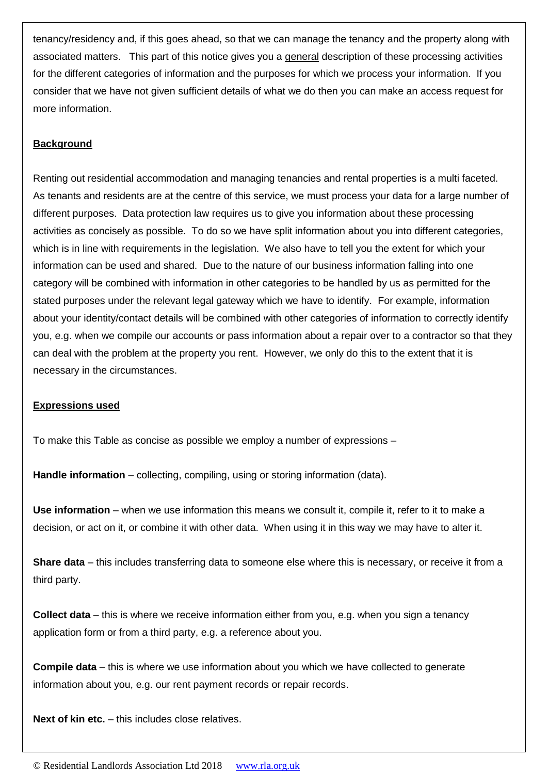tenancy/residency and, if this goes ahead, so that we can manage the tenancy and the property along with associated matters. This part of this notice gives you a general description of these processing activities for the different categories of information and the purposes for which we process your information. If you consider that we have not given sufficient details of what we do then you can make an access request for more information.

## **Background**

Renting out residential accommodation and managing tenancies and rental properties is a multi faceted. As tenants and residents are at the centre of this service, we must process your data for a large number of different purposes. Data protection law requires us to give you information about these processing activities as concisely as possible. To do so we have split information about you into different categories, which is in line with requirements in the legislation. We also have to tell you the extent for which your information can be used and shared. Due to the nature of our business information falling into one category will be combined with information in other categories to be handled by us as permitted for the stated purposes under the relevant legal gateway which we have to identify. For example, information about your identity/contact details will be combined with other categories of information to correctly identify you, e.g. when we compile our accounts or pass information about a repair over to a contractor so that they can deal with the problem at the property you rent. However, we only do this to the extent that it is necessary in the circumstances.

## **Expressions used**

To make this Table as concise as possible we employ a number of expressions –

**Handle information** – collecting, compiling, using or storing information (data).

**Use information** – when we use information this means we consult it, compile it, refer to it to make a decision, or act on it, or combine it with other data. When using it in this way we may have to alter it.

**Share data** – this includes transferring data to someone else where this is necessary, or receive it from a third party.

**Collect data** – this is where we receive information either from you, e.g. when you sign a tenancy application form or from a third party, e.g. a reference about you.

**Compile data** – this is where we use information about you which we have collected to generate information about you, e.g. our rent payment records or repair records.

**Next of kin etc.** – this includes close relatives.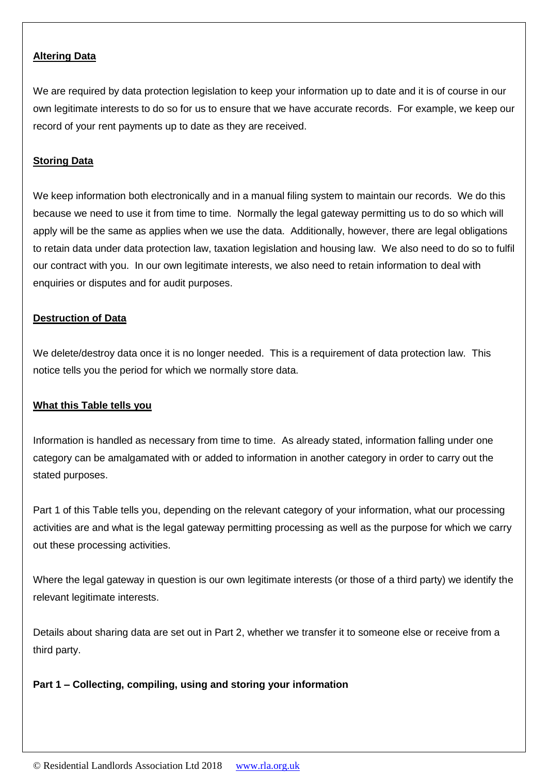### **Altering Data**

We are required by data protection legislation to keep your information up to date and it is of course in our own legitimate interests to do so for us to ensure that we have accurate records. For example, we keep our record of your rent payments up to date as they are received.

## **Storing Data**

We keep information both electronically and in a manual filing system to maintain our records. We do this because we need to use it from time to time. Normally the legal gateway permitting us to do so which will apply will be the same as applies when we use the data. Additionally, however, there are legal obligations to retain data under data protection law, taxation legislation and housing law. We also need to do so to fulfil our contract with you. In our own legitimate interests, we also need to retain information to deal with enquiries or disputes and for audit purposes.

### **Destruction of Data**

We delete/destroy data once it is no longer needed. This is a requirement of data protection law. This notice tells you the period for which we normally store data.

## **What this Table tells you**

Information is handled as necessary from time to time. As already stated, information falling under one category can be amalgamated with or added to information in another category in order to carry out the stated purposes.

Part 1 of this Table tells you, depending on the relevant category of your information, what our processing activities are and what is the legal gateway permitting processing as well as the purpose for which we carry out these processing activities.

Where the legal gateway in question is our own legitimate interests (or those of a third party) we identify the relevant legitimate interests.

Details about sharing data are set out in Part 2, whether we transfer it to someone else or receive from a third party.

## **Part 1 – Collecting, compiling, using and storing your information**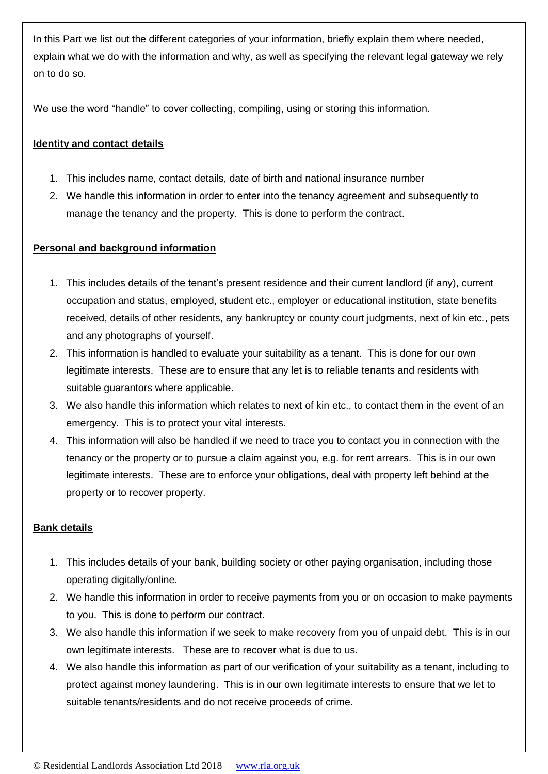In this Part we list out the different categories of your information, briefly explain them where needed, explain what we do with the information and why, as well as specifying the relevant legal gateway we rely on to do so.

We use the word "handle" to cover collecting, compiling, using or storing this information.

## **Identity and contact details**

- 1. This includes name, contact details, date of birth and national insurance number
- 2. We handle this information in order to enter into the tenancy agreement and subsequently to manage the tenancy and the property. This is done to perform the contract.

## **Personal and background information**

- 1. This includes details of the tenant's present residence and their current landlord (if any), current occupation and status, employed, student etc., employer or educational institution, state benefits received, details of other residents, any bankruptcy or county court judgments, next of kin etc., pets and any photographs of yourself.
- 2. This information is handled to evaluate your suitability as a tenant. This is done for our own legitimate interests. These are to ensure that any let is to reliable tenants and residents with suitable guarantors where applicable.
- 3. We also handle this information which relates to next of kin etc., to contact them in the event of an emergency. This is to protect your vital interests.
- 4. This information will also be handled if we need to trace you to contact you in connection with the tenancy or the property or to pursue a claim against you, e.g. for rent arrears. This is in our own legitimate interests. These are to enforce your obligations, deal with property left behind at the property or to recover property.

## **Bank details**

- 1. This includes details of your bank, building society or other paying organisation, including those operating digitally/online.
- 2. We handle this information in order to receive payments from you or on occasion to make payments to you. This is done to perform our contract.
- 3. We also handle this information if we seek to make recovery from you of unpaid debt. This is in our own legitimate interests. These are to recover what is due to us.
- 4. We also handle this information as part of our verification of your suitability as a tenant, including to protect against money laundering. This is in our own legitimate interests to ensure that we let to suitable tenants/residents and do not receive proceeds of crime.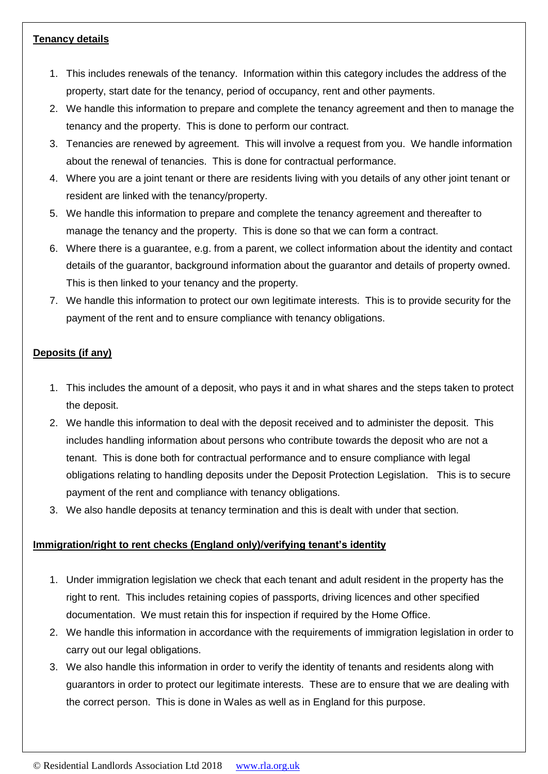## **Tenancy details**

- 1. This includes renewals of the tenancy. Information within this category includes the address of the property, start date for the tenancy, period of occupancy, rent and other payments.
- 2. We handle this information to prepare and complete the tenancy agreement and then to manage the tenancy and the property. This is done to perform our contract.
- 3. Tenancies are renewed by agreement. This will involve a request from you. We handle information about the renewal of tenancies. This is done for contractual performance.
- 4. Where you are a joint tenant or there are residents living with you details of any other joint tenant or resident are linked with the tenancy/property.
- 5. We handle this information to prepare and complete the tenancy agreement and thereafter to manage the tenancy and the property. This is done so that we can form a contract.
- 6. Where there is a guarantee, e.g. from a parent, we collect information about the identity and contact details of the guarantor, background information about the guarantor and details of property owned. This is then linked to your tenancy and the property.
- 7. We handle this information to protect our own legitimate interests. This is to provide security for the payment of the rent and to ensure compliance with tenancy obligations.

## **Deposits (if any)**

- 1. This includes the amount of a deposit, who pays it and in what shares and the steps taken to protect the deposit.
- 2. We handle this information to deal with the deposit received and to administer the deposit. This includes handling information about persons who contribute towards the deposit who are not a tenant. This is done both for contractual performance and to ensure compliance with legal obligations relating to handling deposits under the Deposit Protection Legislation. This is to secure payment of the rent and compliance with tenancy obligations.
- 3. We also handle deposits at tenancy termination and this is dealt with under that section.

## **Immigration/right to rent checks (England only)/verifying tenant's identity**

- 1. Under immigration legislation we check that each tenant and adult resident in the property has the right to rent. This includes retaining copies of passports, driving licences and other specified documentation. We must retain this for inspection if required by the Home Office.
- 2. We handle this information in accordance with the requirements of immigration legislation in order to carry out our legal obligations.
- 3. We also handle this information in order to verify the identity of tenants and residents along with guarantors in order to protect our legitimate interests. These are to ensure that we are dealing with the correct person. This is done in Wales as well as in England for this purpose.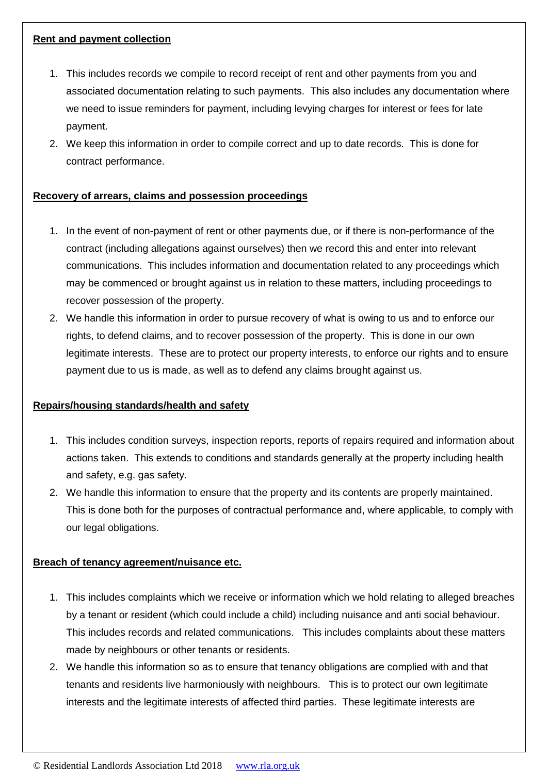## **Rent and payment collection**

- 1. This includes records we compile to record receipt of rent and other payments from you and associated documentation relating to such payments. This also includes any documentation where we need to issue reminders for payment, including levying charges for interest or fees for late payment.
- 2. We keep this information in order to compile correct and up to date records. This is done for contract performance.

## **Recovery of arrears, claims and possession proceedings**

- 1. In the event of non-payment of rent or other payments due, or if there is non-performance of the contract (including allegations against ourselves) then we record this and enter into relevant communications. This includes information and documentation related to any proceedings which may be commenced or brought against us in relation to these matters, including proceedings to recover possession of the property.
- 2. We handle this information in order to pursue recovery of what is owing to us and to enforce our rights, to defend claims, and to recover possession of the property. This is done in our own legitimate interests. These are to protect our property interests, to enforce our rights and to ensure payment due to us is made, as well as to defend any claims brought against us.

## **Repairs/housing standards/health and safety**

- 1. This includes condition surveys, inspection reports, reports of repairs required and information about actions taken. This extends to conditions and standards generally at the property including health and safety, e.g. gas safety.
- 2. We handle this information to ensure that the property and its contents are properly maintained. This is done both for the purposes of contractual performance and, where applicable, to comply with our legal obligations.

### **Breach of tenancy agreement/nuisance etc.**

- 1. This includes complaints which we receive or information which we hold relating to alleged breaches by a tenant or resident (which could include a child) including nuisance and anti social behaviour. This includes records and related communications. This includes complaints about these matters made by neighbours or other tenants or residents.
- 2. We handle this information so as to ensure that tenancy obligations are complied with and that tenants and residents live harmoniously with neighbours. This is to protect our own legitimate interests and the legitimate interests of affected third parties. These legitimate interests are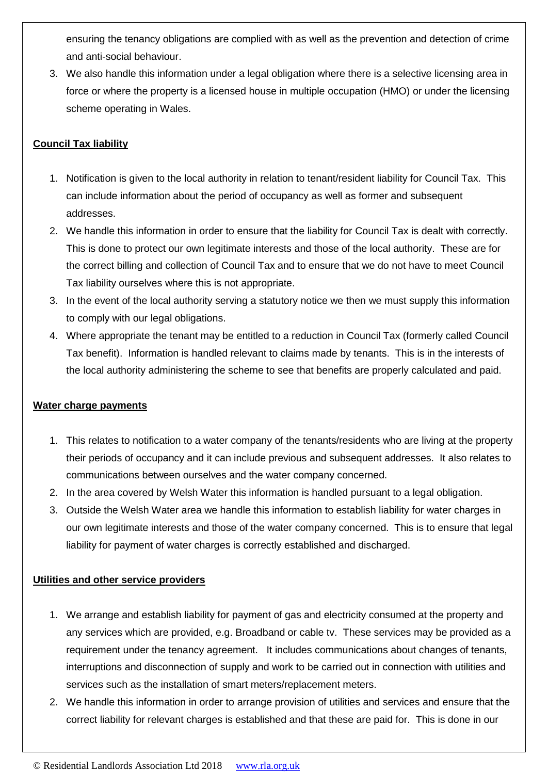ensuring the tenancy obligations are complied with as well as the prevention and detection of crime and anti-social behaviour.

3. We also handle this information under a legal obligation where there is a selective licensing area in force or where the property is a licensed house in multiple occupation (HMO) or under the licensing scheme operating in Wales.

## **Council Tax liability**

- 1. Notification is given to the local authority in relation to tenant/resident liability for Council Tax. This can include information about the period of occupancy as well as former and subsequent addresses.
- 2. We handle this information in order to ensure that the liability for Council Tax is dealt with correctly. This is done to protect our own legitimate interests and those of the local authority. These are for the correct billing and collection of Council Tax and to ensure that we do not have to meet Council Tax liability ourselves where this is not appropriate.
- 3. In the event of the local authority serving a statutory notice we then we must supply this information to comply with our legal obligations.
- 4. Where appropriate the tenant may be entitled to a reduction in Council Tax (formerly called Council Tax benefit). Information is handled relevant to claims made by tenants. This is in the interests of the local authority administering the scheme to see that benefits are properly calculated and paid.

## **Water charge payments**

- 1. This relates to notification to a water company of the tenants/residents who are living at the property their periods of occupancy and it can include previous and subsequent addresses. It also relates to communications between ourselves and the water company concerned.
- 2. In the area covered by Welsh Water this information is handled pursuant to a legal obligation.
- 3. Outside the Welsh Water area we handle this information to establish liability for water charges in our own legitimate interests and those of the water company concerned. This is to ensure that legal liability for payment of water charges is correctly established and discharged.

## **Utilities and other service providers**

- 1. We arrange and establish liability for payment of gas and electricity consumed at the property and any services which are provided, e.g. Broadband or cable tv. These services may be provided as a requirement under the tenancy agreement. It includes communications about changes of tenants, interruptions and disconnection of supply and work to be carried out in connection with utilities and services such as the installation of smart meters/replacement meters.
- 2. We handle this information in order to arrange provision of utilities and services and ensure that the correct liability for relevant charges is established and that these are paid for. This is done in our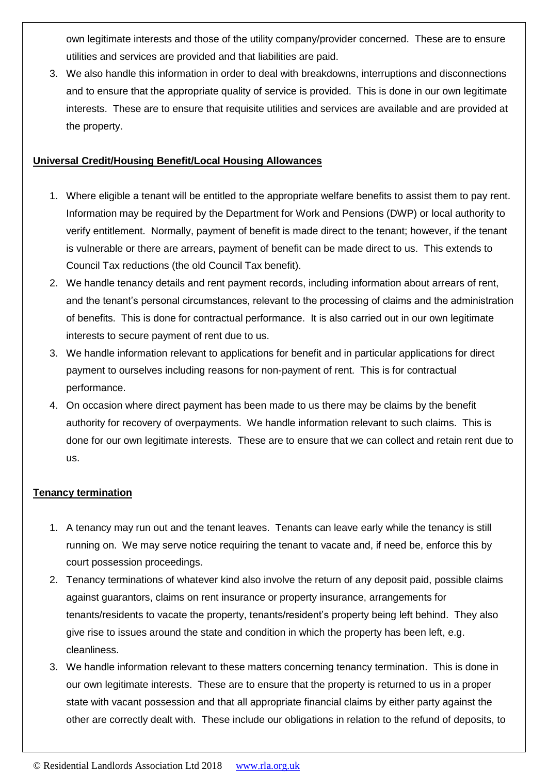own legitimate interests and those of the utility company/provider concerned. These are to ensure utilities and services are provided and that liabilities are paid.

3. We also handle this information in order to deal with breakdowns, interruptions and disconnections and to ensure that the appropriate quality of service is provided. This is done in our own legitimate interests. These are to ensure that requisite utilities and services are available and are provided at the property.

## **Universal Credit/Housing Benefit/Local Housing Allowances**

- 1. Where eligible a tenant will be entitled to the appropriate welfare benefits to assist them to pay rent. Information may be required by the Department for Work and Pensions (DWP) or local authority to verify entitlement. Normally, payment of benefit is made direct to the tenant; however, if the tenant is vulnerable or there are arrears, payment of benefit can be made direct to us. This extends to Council Tax reductions (the old Council Tax benefit).
- 2. We handle tenancy details and rent payment records, including information about arrears of rent, and the tenant's personal circumstances, relevant to the processing of claims and the administration of benefits. This is done for contractual performance. It is also carried out in our own legitimate interests to secure payment of rent due to us.
- 3. We handle information relevant to applications for benefit and in particular applications for direct payment to ourselves including reasons for non-payment of rent. This is for contractual performance.
- 4. On occasion where direct payment has been made to us there may be claims by the benefit authority for recovery of overpayments. We handle information relevant to such claims. This is done for our own legitimate interests. These are to ensure that we can collect and retain rent due to us.

### **Tenancy termination**

- 1. A tenancy may run out and the tenant leaves. Tenants can leave early while the tenancy is still running on. We may serve notice requiring the tenant to vacate and, if need be, enforce this by court possession proceedings.
- 2. Tenancy terminations of whatever kind also involve the return of any deposit paid, possible claims against guarantors, claims on rent insurance or property insurance, arrangements for tenants/residents to vacate the property, tenants/resident's property being left behind. They also give rise to issues around the state and condition in which the property has been left, e.g. cleanliness.
- 3. We handle information relevant to these matters concerning tenancy termination. This is done in our own legitimate interests. These are to ensure that the property is returned to us in a proper state with vacant possession and that all appropriate financial claims by either party against the other are correctly dealt with. These include our obligations in relation to the refund of deposits, to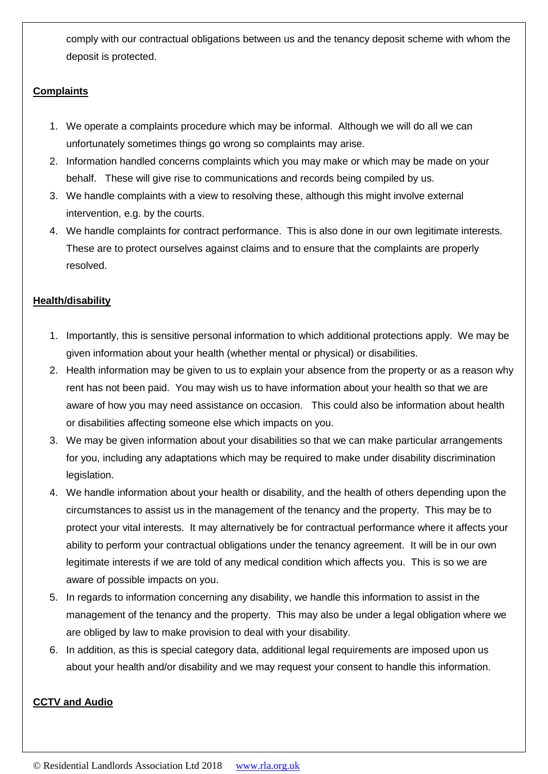comply with our contractual obligations between us and the tenancy deposit scheme with whom the deposit is protected.

## **Complaints**

- 1. We operate a complaints procedure which may be informal. Although we will do all we can unfortunately sometimes things go wrong so complaints may arise.
- 2. Information handled concerns complaints which you may make or which may be made on your behalf. These will give rise to communications and records being compiled by us.
- 3. We handle complaints with a view to resolving these, although this might involve external intervention, e.g. by the courts.
- 4. We handle complaints for contract performance. This is also done in our own legitimate interests. These are to protect ourselves against claims and to ensure that the complaints are properly resolved.

## **Health/disability**

- 1. Importantly, this is sensitive personal information to which additional protections apply. We may be given information about your health (whether mental or physical) or disabilities.
- 2. Health information may be given to us to explain your absence from the property or as a reason why rent has not been paid. You may wish us to have information about your health so that we are aware of how you may need assistance on occasion. This could also be information about health or disabilities affecting someone else which impacts on you.
- 3. We may be given information about your disabilities so that we can make particular arrangements for you, including any adaptations which may be required to make under disability discrimination legislation.
- 4. We handle information about your health or disability, and the health of others depending upon the circumstances to assist us in the management of the tenancy and the property. This may be to protect your vital interests. It may alternatively be for contractual performance where it affects your ability to perform your contractual obligations under the tenancy agreement. It will be in our own legitimate interests if we are told of any medical condition which affects you. This is so we are aware of possible impacts on you.
- 5. In regards to information concerning any disability, we handle this information to assist in the management of the tenancy and the property. This may also be under a legal obligation where we are obliged by law to make provision to deal with your disability.
- 6. In addition, as this is special category data, additional legal requirements are imposed upon us about your health and/or disability and we may request your consent to handle this information.

## **CCTV and Audio**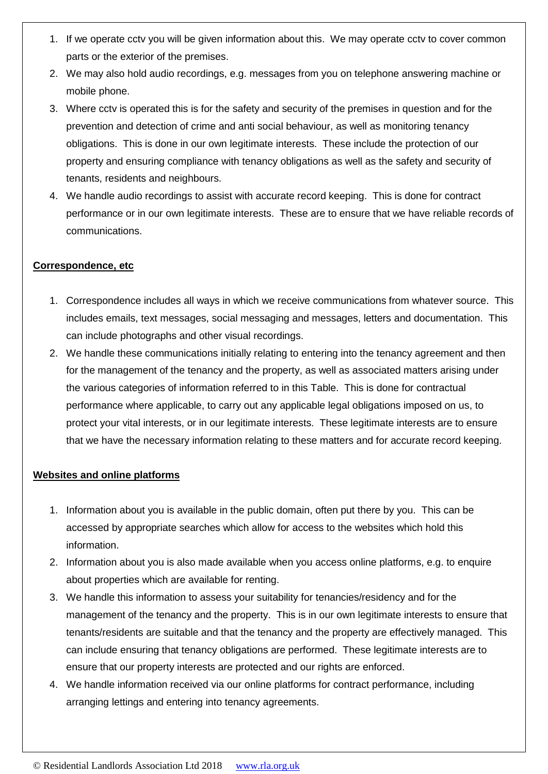- 1. If we operate cctv you will be given information about this. We may operate cctv to cover common parts or the exterior of the premises.
- 2. We may also hold audio recordings, e.g. messages from you on telephone answering machine or mobile phone.
- 3. Where cctv is operated this is for the safety and security of the premises in question and for the prevention and detection of crime and anti social behaviour, as well as monitoring tenancy obligations. This is done in our own legitimate interests. These include the protection of our property and ensuring compliance with tenancy obligations as well as the safety and security of tenants, residents and neighbours.
- 4. We handle audio recordings to assist with accurate record keeping. This is done for contract performance or in our own legitimate interests. These are to ensure that we have reliable records of communications.

## **Correspondence, etc**

- 1. Correspondence includes all ways in which we receive communications from whatever source. This includes emails, text messages, social messaging and messages, letters and documentation. This can include photographs and other visual recordings.
- 2. We handle these communications initially relating to entering into the tenancy agreement and then for the management of the tenancy and the property, as well as associated matters arising under the various categories of information referred to in this Table. This is done for contractual performance where applicable, to carry out any applicable legal obligations imposed on us, to protect your vital interests, or in our legitimate interests. These legitimate interests are to ensure that we have the necessary information relating to these matters and for accurate record keeping.

### **Websites and online platforms**

- 1. Information about you is available in the public domain, often put there by you. This can be accessed by appropriate searches which allow for access to the websites which hold this information.
- 2. Information about you is also made available when you access online platforms, e.g. to enquire about properties which are available for renting.
- 3. We handle this information to assess your suitability for tenancies/residency and for the management of the tenancy and the property. This is in our own legitimate interests to ensure that tenants/residents are suitable and that the tenancy and the property are effectively managed. This can include ensuring that tenancy obligations are performed. These legitimate interests are to ensure that our property interests are protected and our rights are enforced.
- 4. We handle information received via our online platforms for contract performance, including arranging lettings and entering into tenancy agreements.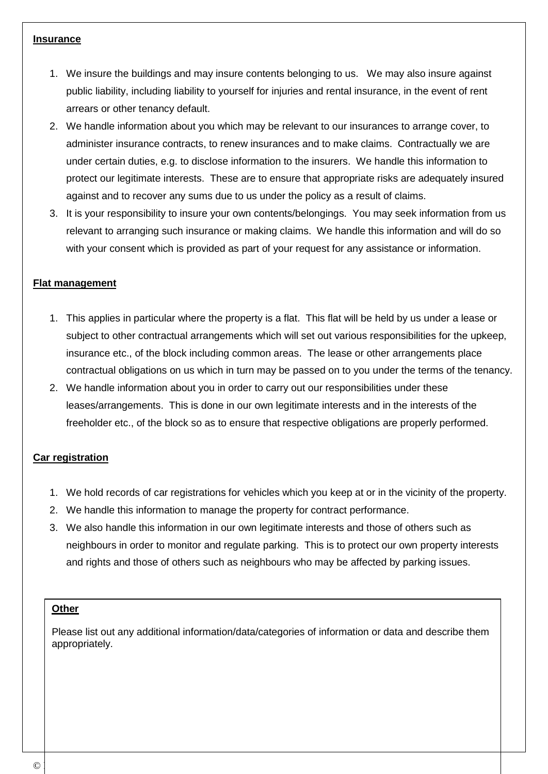#### **Insurance**

- 1. We insure the buildings and may insure contents belonging to us. We may also insure against public liability, including liability to yourself for injuries and rental insurance, in the event of rent arrears or other tenancy default.
- 2. We handle information about you which may be relevant to our insurances to arrange cover, to administer insurance contracts, to renew insurances and to make claims. Contractually we are under certain duties, e.g. to disclose information to the insurers. We handle this information to protect our legitimate interests. These are to ensure that appropriate risks are adequately insured against and to recover any sums due to us under the policy as a result of claims.
- 3. It is your responsibility to insure your own contents/belongings. You may seek information from us relevant to arranging such insurance or making claims. We handle this information and will do so with your consent which is provided as part of your request for any assistance or information.

## **Flat management**

- 1. This applies in particular where the property is a flat. This flat will be held by us under a lease or subject to other contractual arrangements which will set out various responsibilities for the upkeep, insurance etc., of the block including common areas. The lease or other arrangements place contractual obligations on us which in turn may be passed on to you under the terms of the tenancy.
- 2. We handle information about you in order to carry out our responsibilities under these leases/arrangements. This is done in our own legitimate interests and in the interests of the freeholder etc., of the block so as to ensure that respective obligations are properly performed.

## **Car registration**

- 1. We hold records of car registrations for vehicles which you keep at or in the vicinity of the property.
- 2. We handle this information to manage the property for contract performance.
- 3. We also handle this information in our own legitimate interests and those of others such as neighbours in order to monitor and regulate parking. This is to protect our own property interests and rights and those of others such as neighbours who may be affected by parking issues.

### **Other**

Please list out any additional information/data/categories of information or data and describe them appropriately.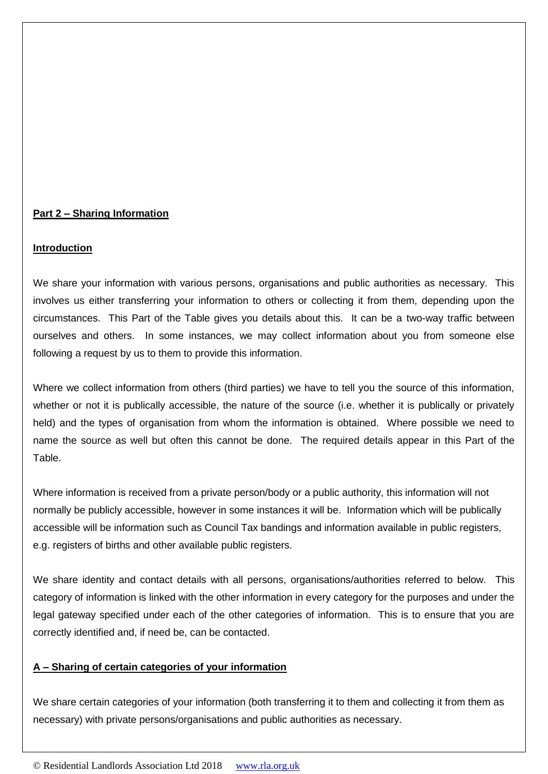## **Part 2 – Sharing Information**

### **Introduction**

We share your information with various persons, organisations and public authorities as necessary. This involves us either transferring your information to others or collecting it from them, depending upon the circumstances. This Part of the Table gives you details about this. It can be a two-way traffic between ourselves and others. In some instances, we may collect information about you from someone else following a request by us to them to provide this information.

Where we collect information from others (third parties) we have to tell you the source of this information, whether or not it is publically accessible, the nature of the source (i.e. whether it is publically or privately held) and the types of organisation from whom the information is obtained. Where possible we need to name the source as well but often this cannot be done. The required details appear in this Part of the Table.

Where information is received from a private person/body or a public authority, this information will not normally be publicly accessible, however in some instances it will be. Information which will be publically accessible will be information such as Council Tax bandings and information available in public registers, e.g. registers of births and other available public registers.

We share identity and contact details with all persons, organisations/authorities referred to below. This category of information is linked with the other information in every category for the purposes and under the legal gateway specified under each of the other categories of information. This is to ensure that you are correctly identified and, if need be, can be contacted.

### **A – Sharing of certain categories of your information**

We share certain categories of your information (both transferring it to them and collecting it from them as necessary) with private persons/organisations and public authorities as necessary.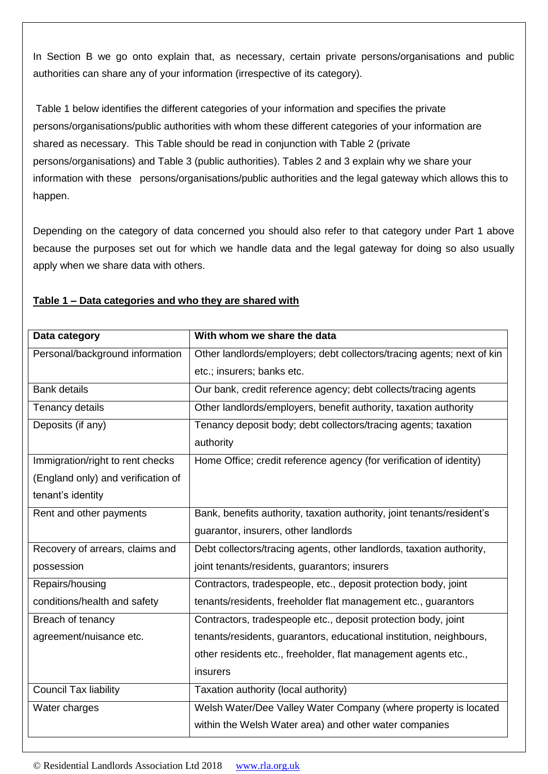In Section B we go onto explain that, as necessary, certain private persons/organisations and public authorities can share any of your information (irrespective of its category).

Table 1 below identifies the different categories of your information and specifies the private persons/organisations/public authorities with whom these different categories of your information are shared as necessary. This Table should be read in conjunction with Table 2 (private persons/organisations) and Table 3 (public authorities). Tables 2 and 3 explain why we share your information with these persons/organisations/public authorities and the legal gateway which allows this to happen.

Depending on the category of data concerned you should also refer to that category under Part 1 above because the purposes set out for which we handle data and the legal gateway for doing so also usually apply when we share data with others.

| Data category                      | With whom we share the data                                            |
|------------------------------------|------------------------------------------------------------------------|
| Personal/background information    | Other landlords/employers; debt collectors/tracing agents; next of kin |
|                                    | etc.; insurers; banks etc.                                             |
| <b>Bank details</b>                | Our bank, credit reference agency; debt collects/tracing agents        |
| Tenancy details                    | Other landlords/employers, benefit authority, taxation authority       |
| Deposits (if any)                  | Tenancy deposit body; debt collectors/tracing agents; taxation         |
|                                    | authority                                                              |
| Immigration/right to rent checks   | Home Office; credit reference agency (for verification of identity)    |
| (England only) and verification of |                                                                        |
| tenant's identity                  |                                                                        |
| Rent and other payments            | Bank, benefits authority, taxation authority, joint tenants/resident's |
|                                    | guarantor, insurers, other landlords                                   |
| Recovery of arrears, claims and    | Debt collectors/tracing agents, other landlords, taxation authority,   |
| possession                         | joint tenants/residents, guarantors; insurers                          |
| Repairs/housing                    | Contractors, tradespeople, etc., deposit protection body, joint        |
| conditions/health and safety       | tenants/residents, freeholder flat management etc., guarantors         |
| Breach of tenancy                  | Contractors, tradespeople etc., deposit protection body, joint         |
| agreement/nuisance etc.            | tenants/residents, guarantors, educational institution, neighbours,    |
|                                    | other residents etc., freeholder, flat management agents etc.,         |
|                                    | insurers                                                               |
| <b>Council Tax liability</b>       | Taxation authority (local authority)                                   |
| Water charges                      | Welsh Water/Dee Valley Water Company (where property is located        |
|                                    | within the Welsh Water area) and other water companies                 |

## **Table 1 – Data categories and who they are shared with**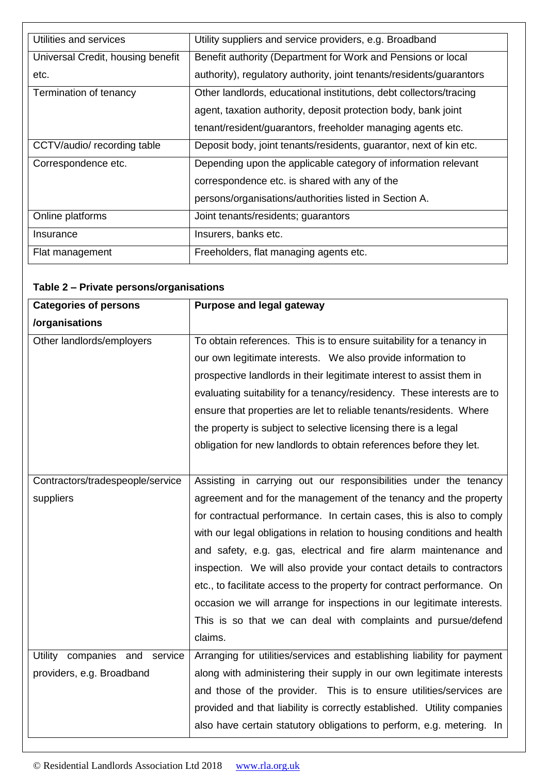| Utilities and services            | Utility suppliers and service providers, e.g. Broadband              |
|-----------------------------------|----------------------------------------------------------------------|
| Universal Credit, housing benefit | Benefit authority (Department for Work and Pensions or local         |
| etc.                              | authority), regulatory authority, joint tenants/residents/guarantors |
| Termination of tenancy            | Other landlords, educational institutions, debt collectors/tracing   |
|                                   | agent, taxation authority, deposit protection body, bank joint       |
|                                   | tenant/resident/guarantors, freeholder managing agents etc.          |
| CCTV/audio/ recording table       | Deposit body, joint tenants/residents, guarantor, next of kin etc.   |
| Correspondence etc.               | Depending upon the applicable category of information relevant       |
|                                   | correspondence etc. is shared with any of the                        |
|                                   | persons/organisations/authorities listed in Section A.               |
| Online platforms                  | Joint tenants/residents; guarantors                                  |
| Insurance                         | Insurers, banks etc.                                                 |
| Flat management                   | Freeholders, flat managing agents etc.                               |

# **Table 2 – Private persons/organisations**

| <b>Categories of persons</b>     | Purpose and legal gateway                                               |
|----------------------------------|-------------------------------------------------------------------------|
| /organisations                   |                                                                         |
| Other landlords/employers        | To obtain references. This is to ensure suitability for a tenancy in    |
|                                  | our own legitimate interests. We also provide information to            |
|                                  | prospective landlords in their legitimate interest to assist them in    |
|                                  | evaluating suitability for a tenancy/residency. These interests are to  |
|                                  | ensure that properties are let to reliable tenants/residents. Where     |
|                                  | the property is subject to selective licensing there is a legal         |
|                                  | obligation for new landlords to obtain references before they let.      |
|                                  |                                                                         |
| Contractors/tradespeople/service | Assisting in carrying out our responsibilities under the tenancy        |
| suppliers                        | agreement and for the management of the tenancy and the property        |
|                                  | for contractual performance. In certain cases, this is also to comply   |
|                                  | with our legal obligations in relation to housing conditions and health |
|                                  | and safety, e.g. gas, electrical and fire alarm maintenance and         |
|                                  | inspection. We will also provide your contact details to contractors    |
|                                  | etc., to facilitate access to the property for contract performance. On |
|                                  | occasion we will arrange for inspections in our legitimate interests.   |
|                                  | This is so that we can deal with complaints and pursue/defend           |
|                                  | claims.                                                                 |
| Utility<br>companies and service | Arranging for utilities/services and establishing liability for payment |
| providers, e.g. Broadband        | along with administering their supply in our own legitimate interests   |
|                                  | and those of the provider. This is to ensure utilities/services are     |
|                                  | provided and that liability is correctly established. Utility companies |
|                                  | also have certain statutory obligations to perform, e.g. metering. In   |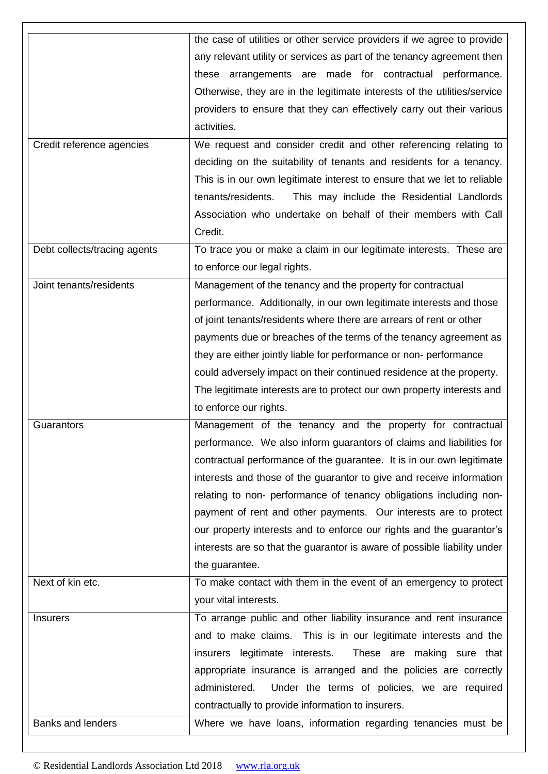|                              | the case of utilities or other service providers if we agree to provide  |
|------------------------------|--------------------------------------------------------------------------|
|                              |                                                                          |
|                              | any relevant utility or services as part of the tenancy agreement then   |
|                              | these arrangements are made for contractual performance.                 |
|                              | Otherwise, they are in the legitimate interests of the utilities/service |
|                              | providers to ensure that they can effectively carry out their various    |
|                              | activities.                                                              |
| Credit reference agencies    | We request and consider credit and other referencing relating to         |
|                              | deciding on the suitability of tenants and residents for a tenancy.      |
|                              | This is in our own legitimate interest to ensure that we let to reliable |
|                              | tenants/residents.<br>This may include the Residential Landlords         |
|                              | Association who undertake on behalf of their members with Call           |
|                              | Credit.                                                                  |
| Debt collects/tracing agents | To trace you or make a claim in our legitimate interests. These are      |
|                              |                                                                          |
|                              | to enforce our legal rights.                                             |
| Joint tenants/residents      | Management of the tenancy and the property for contractual               |
|                              | performance. Additionally, in our own legitimate interests and those     |
|                              | of joint tenants/residents where there are arrears of rent or other      |
|                              | payments due or breaches of the terms of the tenancy agreement as        |
|                              | they are either jointly liable for performance or non-performance        |
|                              | could adversely impact on their continued residence at the property.     |
|                              | The legitimate interests are to protect our own property interests and   |
|                              | to enforce our rights.                                                   |
| Guarantors                   | Management of the tenancy and the property for contractual               |
|                              | performance. We also inform guarantors of claims and liabilities for     |
|                              | contractual performance of the guarantee. It is in our own legitimate    |
|                              | interests and those of the guarantor to give and receive information     |
|                              | relating to non- performance of tenancy obligations including non-       |
|                              | payment of rent and other payments. Our interests are to protect         |
|                              | our property interests and to enforce our rights and the guarantor's     |
|                              |                                                                          |
|                              | interests are so that the guarantor is aware of possible liability under |
|                              | the guarantee.                                                           |
| Next of kin etc.             | To make contact with them in the event of an emergency to protect        |
|                              | your vital interests.                                                    |
| <b>Insurers</b>              | To arrange public and other liability insurance and rent insurance       |
|                              | and to make claims. This is in our legitimate interests and the          |
|                              | insurers legitimate interests.<br>These are making sure that             |
|                              | appropriate insurance is arranged and the policies are correctly         |
|                              | administered.<br>Under the terms of policies, we are required            |
|                              | contractually to provide information to insurers.                        |
| <b>Banks and lenders</b>     | Where we have loans, information regarding tenancies must be             |
|                              |                                                                          |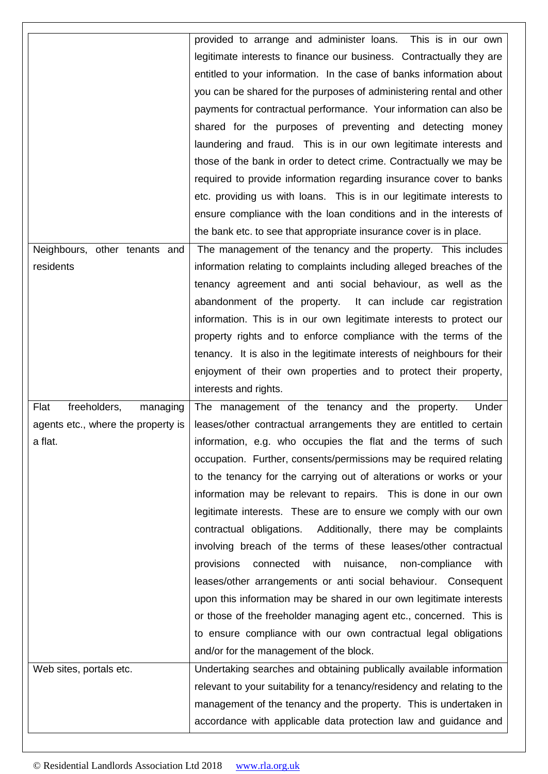|                                    | provided to arrange and administer loans. This is in our own             |
|------------------------------------|--------------------------------------------------------------------------|
|                                    | legitimate interests to finance our business. Contractually they are     |
|                                    | entitled to your information. In the case of banks information about     |
|                                    | you can be shared for the purposes of administering rental and other     |
|                                    | payments for contractual performance. Your information can also be       |
|                                    | shared for the purposes of preventing and detecting money                |
|                                    | laundering and fraud. This is in our own legitimate interests and        |
|                                    | those of the bank in order to detect crime. Contractually we may be      |
|                                    | required to provide information regarding insurance cover to banks       |
|                                    | etc. providing us with loans. This is in our legitimate interests to     |
|                                    | ensure compliance with the loan conditions and in the interests of       |
|                                    | the bank etc. to see that appropriate insurance cover is in place.       |
| Neighbours, other tenants and      | The management of the tenancy and the property. This includes            |
| residents                          | information relating to complaints including alleged breaches of the     |
|                                    | tenancy agreement and anti social behaviour, as well as the              |
|                                    | abandonment of the property.<br>It can include car registration          |
|                                    | information. This is in our own legitimate interests to protect our      |
|                                    | property rights and to enforce compliance with the terms of the          |
|                                    | tenancy. It is also in the legitimate interests of neighbours for their  |
|                                    | enjoyment of their own properties and to protect their property,         |
|                                    |                                                                          |
|                                    | interests and rights.                                                    |
| Flat<br>freeholders,<br>managing   | The management of the tenancy and the property.<br>Under                 |
| agents etc., where the property is | leases/other contractual arrangements they are entitled to certain       |
| a flat.                            | information, e.g. who occupies the flat and the terms of such            |
|                                    | occupation. Further, consents/permissions may be required relating       |
|                                    | to the tenancy for the carrying out of alterations or works or your      |
|                                    | information may be relevant to repairs. This is done in our own          |
|                                    | legitimate interests. These are to ensure we comply with our own         |
|                                    | Additionally, there may be complaints<br>contractual obligations.        |
|                                    | involving breach of the terms of these leases/other contractual          |
|                                    | provisions<br>connected<br>with<br>nuisance, non-compliance<br>with      |
|                                    | leases/other arrangements or anti social behaviour. Consequent           |
|                                    | upon this information may be shared in our own legitimate interests      |
|                                    | or those of the freeholder managing agent etc., concerned. This is       |
|                                    | to ensure compliance with our own contractual legal obligations          |
|                                    | and/or for the management of the block.                                  |
| Web sites, portals etc.            | Undertaking searches and obtaining publically available information      |
|                                    | relevant to your suitability for a tenancy/residency and relating to the |
|                                    | management of the tenancy and the property. This is undertaken in        |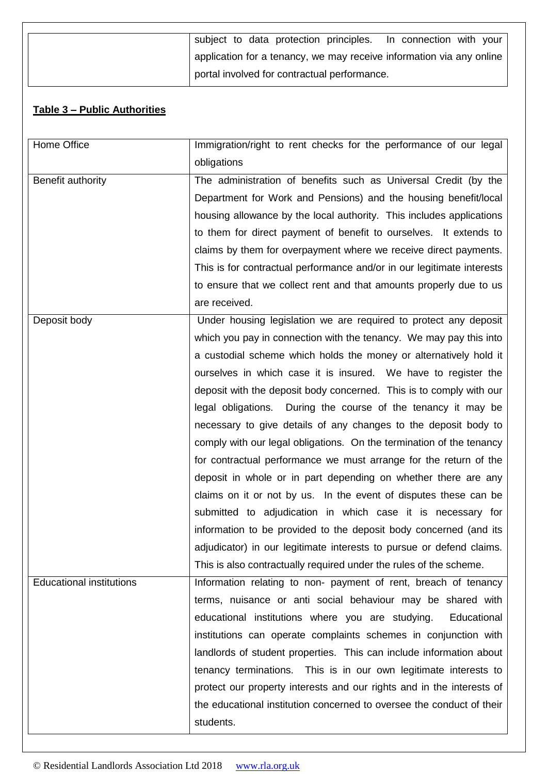| subject to data protection principles. In connection with your       |
|----------------------------------------------------------------------|
| application for a tenancy, we may receive information via any online |
| portal involved for contractual performance.                         |

# **Table 3 – Public Authorities**

| Home Office                     | Immigration/right to rent checks for the performance of our legal      |
|---------------------------------|------------------------------------------------------------------------|
|                                 | obligations                                                            |
| Benefit authority               | The administration of benefits such as Universal Credit (by the        |
|                                 | Department for Work and Pensions) and the housing benefit/local        |
|                                 | housing allowance by the local authority. This includes applications   |
|                                 | to them for direct payment of benefit to ourselves. It extends to      |
|                                 | claims by them for overpayment where we receive direct payments.       |
|                                 | This is for contractual performance and/or in our legitimate interests |
|                                 | to ensure that we collect rent and that amounts properly due to us     |
|                                 | are received.                                                          |
| Deposit body                    | Under housing legislation we are required to protect any deposit       |
|                                 | which you pay in connection with the tenancy. We may pay this into     |
|                                 | a custodial scheme which holds the money or alternatively hold it      |
|                                 | ourselves in which case it is insured. We have to register the         |
|                                 | deposit with the deposit body concerned. This is to comply with our    |
|                                 | legal obligations. During the course of the tenancy it may be          |
|                                 | necessary to give details of any changes to the deposit body to        |
|                                 | comply with our legal obligations. On the termination of the tenancy   |
|                                 | for contractual performance we must arrange for the return of the      |
|                                 | deposit in whole or in part depending on whether there are any         |
|                                 | claims on it or not by us. In the event of disputes these can be       |
|                                 | submitted to adjudication in which case it is necessary for            |
|                                 | information to be provided to the deposit body concerned (and its      |
|                                 | adjudicator) in our legitimate interests to pursue or defend claims.   |
|                                 | This is also contractually required under the rules of the scheme.     |
| <b>Educational institutions</b> | Information relating to non- payment of rent, breach of tenancy        |
|                                 | terms, nuisance or anti social behaviour may be shared with            |
|                                 | educational institutions where you are studying.<br>Educational        |
|                                 | institutions can operate complaints schemes in conjunction with        |
|                                 | landlords of student properties. This can include information about    |
|                                 | tenancy terminations. This is in our own legitimate interests to       |
|                                 | protect our property interests and our rights and in the interests of  |
|                                 | the educational institution concerned to oversee the conduct of their  |
|                                 | students.                                                              |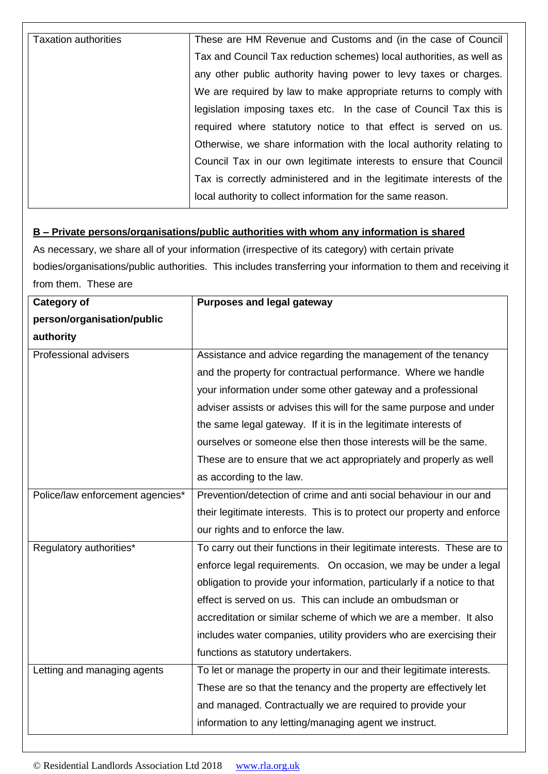| <b>Taxation authorities</b> | These are HM Revenue and Customs and (in the case of Council         |
|-----------------------------|----------------------------------------------------------------------|
|                             | Tax and Council Tax reduction schemes) local authorities, as well as |
|                             |                                                                      |
|                             | any other public authority having power to levy taxes or charges.    |
|                             | We are required by law to make appropriate returns to comply with    |
|                             | legislation imposing taxes etc. In the case of Council Tax this is   |
|                             | required where statutory notice to that effect is served on us.      |
|                             | Otherwise, we share information with the local authority relating to |
|                             | Council Tax in our own legitimate interests to ensure that Council   |
|                             | Tax is correctly administered and in the legitimate interests of the |
|                             | local authority to collect information for the same reason.          |

## **B – Private persons/organisations/public authorities with whom any information is shared**

As necessary, we share all of your information (irrespective of its category) with certain private bodies/organisations/public authorities. This includes transferring your information to them and receiving it from them. These are

| <b>Category of</b>               | <b>Purposes and legal gateway</b>                                        |
|----------------------------------|--------------------------------------------------------------------------|
| person/organisation/public       |                                                                          |
| authority                        |                                                                          |
| Professional advisers            | Assistance and advice regarding the management of the tenancy            |
|                                  | and the property for contractual performance. Where we handle            |
|                                  | your information under some other gateway and a professional             |
|                                  | adviser assists or advises this will for the same purpose and under      |
|                                  | the same legal gateway. If it is in the legitimate interests of          |
|                                  | ourselves or someone else then those interests will be the same.         |
|                                  | These are to ensure that we act appropriately and properly as well       |
|                                  | as according to the law.                                                 |
| Police/law enforcement agencies* | Prevention/detection of crime and anti social behaviour in our and       |
|                                  | their legitimate interests. This is to protect our property and enforce  |
|                                  | our rights and to enforce the law.                                       |
| Regulatory authorities*          | To carry out their functions in their legitimate interests. These are to |
|                                  | enforce legal requirements. On occasion, we may be under a legal         |
|                                  | obligation to provide your information, particularly if a notice to that |
|                                  | effect is served on us. This can include an ombudsman or                 |
|                                  | accreditation or similar scheme of which we are a member. It also        |
|                                  | includes water companies, utility providers who are exercising their     |
|                                  | functions as statutory undertakers.                                      |
| Letting and managing agents      | To let or manage the property in our and their legitimate interests.     |
|                                  | These are so that the tenancy and the property are effectively let       |
|                                  | and managed. Contractually we are required to provide your               |
|                                  | information to any letting/managing agent we instruct.                   |